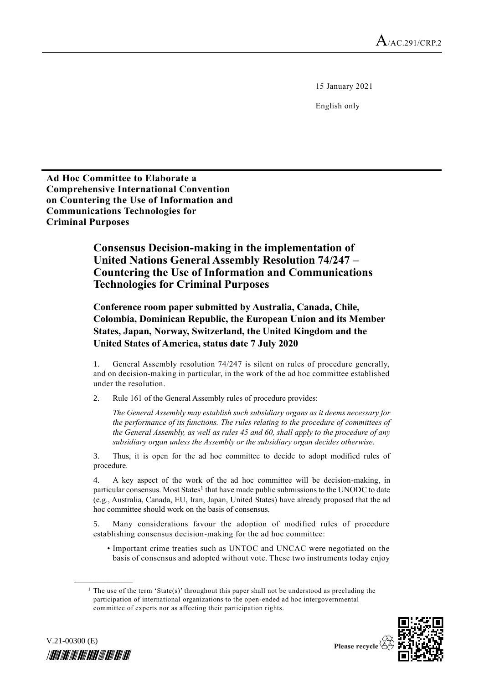15 January 2021

English only

**Ad Hoc Committee to Elaborate a Comprehensive International Convention on Countering the Use of Information and Communications Technologies for Criminal Purposes**

> **Consensus Decision-making in the implementation of United Nations General Assembly Resolution 74/247 – Countering the Use of Information and Communications Technologies for Criminal Purposes**

**Conference room paper submitted by Australia, Canada, Chile, Colombia, Dominican Republic, the European Union and its Member States, Japan, Norway, Switzerland, the United Kingdom and the United States of America, status date 7 July 2020** 

General Assembly resolution 74/247 is silent on rules of procedure generally, and on decision-making in particular, in the work of the ad hoc committee established under the resolution.

2. Rule 161 of the General Assembly rules of procedure provides:

*The General Assembly may establish such subsidiary organs as it deems necessary for the performance of its functions. The rules relating to the procedure of committees of the General Assembly, as well as rules 45 and 60, shall apply to the procedure of any subsidiary organ unless the Assembly or the subsidiary organ decides otherwise.*

3. Thus, it is open for the ad hoc committee to decide to adopt modified rules of procedure.

4. A key aspect of the work of the ad hoc committee will be decision-making, in particular consensus. Most States<sup>1</sup> that have made public submissions to the UNODC to date (e.g., Australia, Canada, EU, Iran, Japan, United States) have already proposed that the ad hoc committee should work on the basis of consensus.

5. Many considerations favour the adoption of modified rules of procedure establishing consensus decision-making for the ad hoc committee:

• Important crime treaties such as UNTOC and UNCAC were negotiated on the basis of consensus and adopted without vote. These two instruments today enjoy

<sup>&</sup>lt;sup>1</sup> The use of the term 'State(s)' throughout this paper shall not be understood as precluding the participation of international organizations to the open-ended ad hoc intergovernmental committee of experts nor as affecting their participation rights.





**\_\_\_\_\_\_\_\_\_\_\_\_\_\_\_\_\_\_**